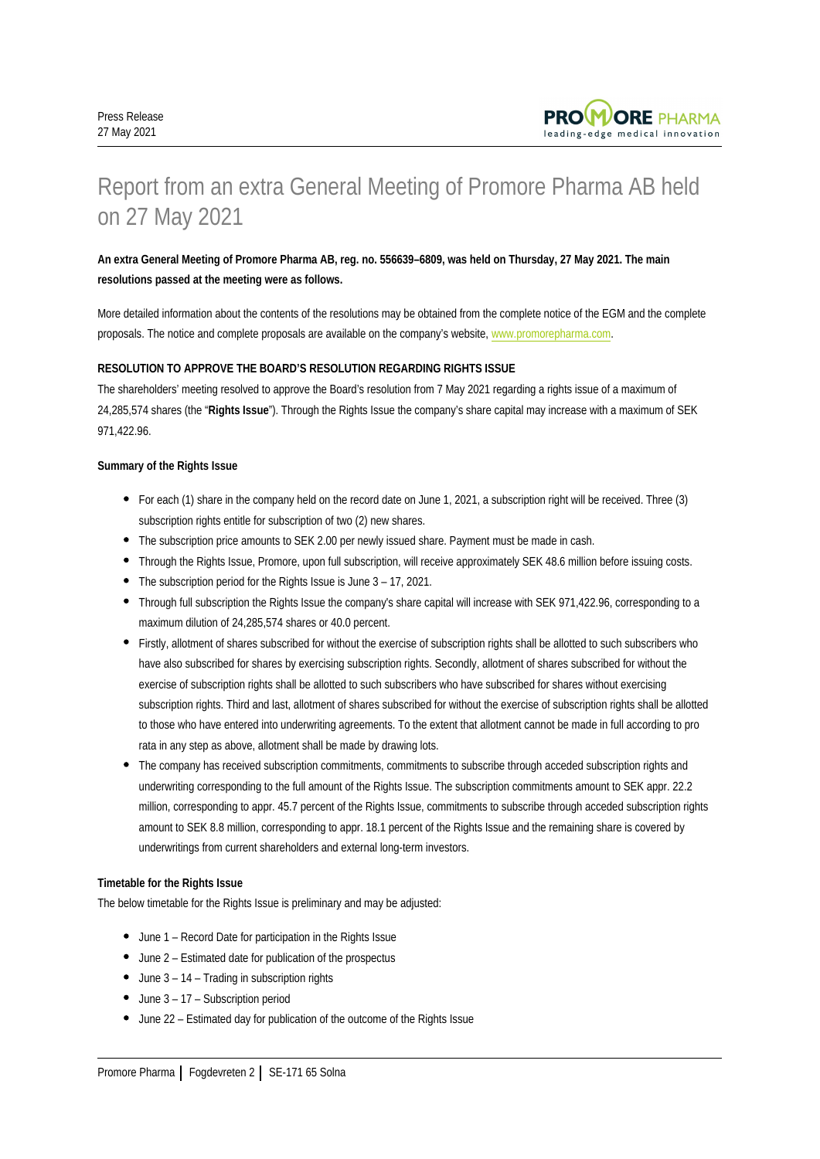

# Report from an extra General Meeting of Promore Pharma AB held on 27 May 2021

## **An extra General Meeting of Promore Pharma AB, reg. no. 556639–6809, was held on Thursday, 27 May 2021. The main resolutions passed at the meeting were as follows.**

More detailed information about the contents of the resolutions may be obtained from the complete notice of the EGM and the complete proposals. The notice and complete proposals are available on the company's website, [www.promorepharma.com.](http://www.promorepharma.com)

## **RESOLUTION TO APPROVE THE BOARD'S RESOLUTION REGARDING RIGHTS ISSUE**

The shareholders' meeting resolved to approve the Board's resolution from 7 May 2021 regarding a rights issue of a maximum of 24,285,574 shares (the "**Rights Issue**"). Through the Rights Issue the company's share capital may increase with a maximum of SEK 971,422.96.

## **Summary of the Rights Issue**

- For each (1) share in the company held on the record date on June 1, 2021, a subscription right will be received. Three (3) subscription rights entitle for subscription of two (2) new shares.
- The subscription price amounts to SEK 2.00 per newly issued share. Payment must be made in cash.
- Through the Rights Issue, Promore, upon full subscription, will receive approximately SEK 48.6 million before issuing costs.
- The subscription period for the Rights Issue is June 3 17, 2021.
- Through full subscription the Rights Issue the company's share capital will increase with SEK 971,422.96, corresponding to a maximum dilution of 24,285,574 shares or 40.0 percent.
- Firstly, allotment of shares subscribed for without the exercise of subscription rights shall be allotted to such subscribers who have also subscribed for shares by exercising subscription rights. Secondly, allotment of shares subscribed for without the exercise of subscription rights shall be allotted to such subscribers who have subscribed for shares without exercising subscription rights. Third and last, allotment of shares subscribed for without the exercise of subscription rights shall be allotted to those who have entered into underwriting agreements. To the extent that allotment cannot be made in full according to pro rata in any step as above, allotment shall be made by drawing lots.
- The company has received subscription commitments, commitments to subscribe through acceded subscription rights and underwriting corresponding to the full amount of the Rights Issue. The subscription commitments amount to SEK appr. 22.2 million, corresponding to appr. 45.7 percent of the Rights Issue, commitments to subscribe through acceded subscription rights amount to SEK 8.8 million, corresponding to appr. 18.1 percent of the Rights Issue and the remaining share is covered by underwritings from current shareholders and external long-term investors.

## **Timetable for the Rights Issue**

The below timetable for the Rights Issue is preliminary and may be adjusted:

- June 1 Record Date for participation in the Rights Issue
- June 2 Estimated date for publication of the prospectus
- $\bullet$  June 3 14 Trading in subscription rights
- $\bullet$  June 3 17 Subscription period
- June 22 Estimated day for publication of the outcome of the Rights Issue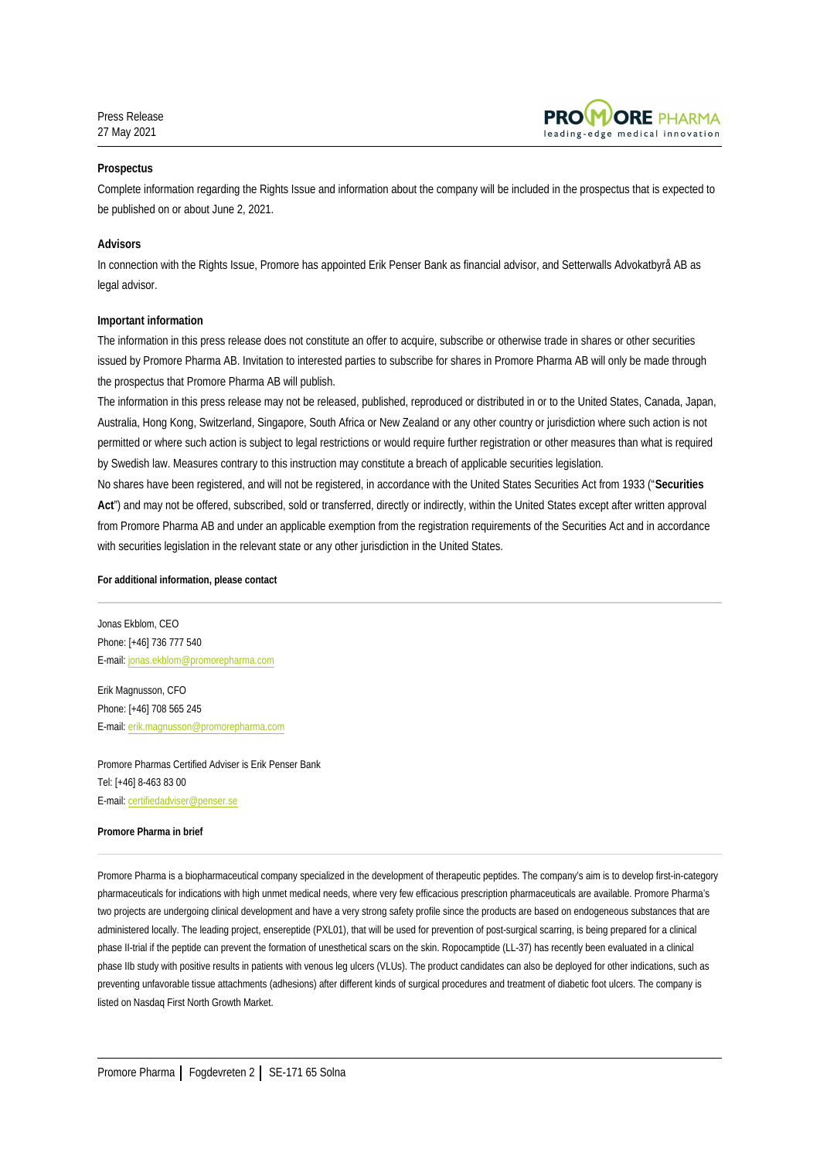Press Release 27 May 2021



## **Prospectus**

Complete information regarding the Rights Issue and information about the company will be included in the prospectus that is expected to be published on or about June 2, 2021.

#### **Advisors**

In connection with the Rights Issue, Promore has appointed Erik Penser Bank as financial advisor, and Setterwalls Advokatbyrå AB as legal advisor.

#### **Important information**

The information in this press release does not constitute an offer to acquire, subscribe or otherwise trade in shares or other securities issued by Promore Pharma AB. Invitation to interested parties to subscribe for shares in Promore Pharma AB will only be made through the prospectus that Promore Pharma AB will publish.

The information in this press release may not be released, published, reproduced or distributed in or to the United States, Canada, Japan, Australia, Hong Kong, Switzerland, Singapore, South Africa or New Zealand or any other country or jurisdiction where such action is not permitted or where such action is subject to legal restrictions or would require further registration or other measures than what is required by Swedish law. Measures contrary to this instruction may constitute a breach of applicable securities legislation.

No shares have been registered, and will not be registered, in accordance with the United States Securities Act from 1933 ("**Securities**  Act") and may not be offered, subscribed, sold or transferred, directly or indirectly, within the United States except after written approval from Promore Pharma AB and under an applicable exemption from the registration requirements of the Securities Act and in accordance with securities legislation in the relevant state or any other jurisdiction in the United States.

## **For additional information, please contact**

Jonas Ekblom, CEO Phone: [+46] 736 777 540 E-mail: jonas.ekblom@promorepharma.com

Erik Magnusson, CFO Phone: [+46] 708 565 245 E-mail: erik.magnusson@promorepharma.com

Promore Pharmas Certified Adviser is Erik Penser Bank Tel: [+46] 8-463 83 00 E-mail: certifiedadviser@penser.se

#### **Promore Pharma in brief**

Promore Pharma is a biopharmaceutical company specialized in the development of therapeutic peptides. The company's aim is to develop first-in-category pharmaceuticals for indications with high unmet medical needs, where very few efficacious prescription pharmaceuticals are available. Promore Pharma's two projects are undergoing clinical development and have a very strong safety profile since the products are based on endogeneous substances that are administered locally. The leading project, ensereptide (PXL01), that will be used for prevention of post-surgical scarring, is being prepared for a clinical phase II-trial if the peptide can prevent the formation of unesthetical scars on the skin. Ropocamptide (LL-37) has recently been evaluated in a clinical phase IIb study with positive results in patients with venous leg ulcers (VLUs). The product candidates can also be deployed for other indications, such as preventing unfavorable tissue attachments (adhesions) after different kinds of surgical procedures and treatment of diabetic foot ulcers. The company is listed on Nasdaq First North Growth Market.